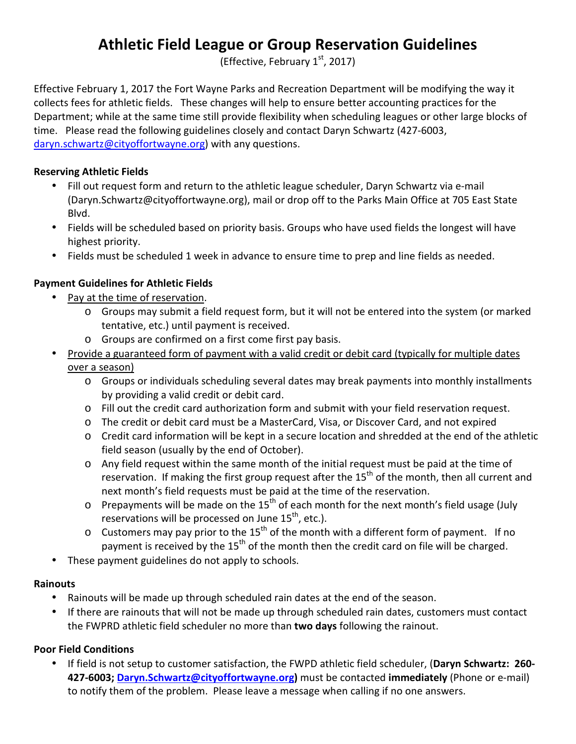# **Athletic Field League or Group Reservation Guidelines**

(Effective, February  $1<sup>st</sup>$ , 2017)

Effective February 1, 2017 the Fort Wayne Parks and Recreation Department will be modifying the way it collects fees for athletic fields. These changes will help to ensure better accounting practices for the Department; while at the same time still provide flexibility when scheduling leagues or other large blocks of time. Please read the following guidelines closely and contact Daryn Schwartz (427-6003, daryn.schwartz@cityoffortwayne.org) with any questions.

#### **Reserving Athletic Fields**

- Fill out request form and return to the athletic league scheduler, Daryn Schwartz via e-mail (Daryn.Schwartz@cityoffortwayne.org), mail or drop off to the Parks Main Office at 705 East State Blvd.
- Fields will be scheduled based on priority basis. Groups who have used fields the longest will have highest priority.
- Fields must be scheduled 1 week in advance to ensure time to prep and line fields as needed.

## **Payment Guidelines for Athletic Fields**

- Pay at the time of reservation.
	- o Groups may submit a field request form, but it will not be entered into the system (or marked tentative, etc.) until payment is received.
	- o Groups are confirmed on a first come first pay basis.
- Provide a guaranteed form of payment with a valid credit or debit card (typically for multiple dates over a season)
	- o Groups or individuals scheduling several dates may break payments into monthly installments by providing a valid credit or debit card.
	- o Fill out the credit card authorization form and submit with your field reservation request.
	- o The credit or debit card must be a MasterCard, Visa, or Discover Card, and not expired
	- o Credit card information will be kept in a secure location and shredded at the end of the athletic field season (usually by the end of October).
	- o Any field request within the same month of the initial request must be paid at the time of reservation. If making the first group request after the 15<sup>th</sup> of the month, then all current and next month's field requests must be paid at the time of the reservation.
	- $\circ$  Prepayments will be made on the 15<sup>th</sup> of each month for the next month's field usage (July reservations will be processed on June  $15<sup>th</sup>$ , etc.).
	- $\circ$  Customers may pay prior to the 15<sup>th</sup> of the month with a different form of payment. If no payment is received by the 15<sup>th</sup> of the month then the credit card on file will be charged.
- These payment guidelines do not apply to schools.

## **Rainouts**

- Rainouts will be made up through scheduled rain dates at the end of the season.
- If there are rainouts that will not be made up through scheduled rain dates, customers must contact the FWPRD athletic field scheduler no more than **two days** following the rainout.

## **Poor Field Conditions**

• If field is not setup to customer satisfaction, the FWPD athletic field scheduler, (**Daryn Schwartz: 260- 427-6003; Daryn.Schwartz@cityoffortwayne.org)** must be contacted **immediately** (Phone or e-mail) to notify them of the problem. Please leave a message when calling if no one answers.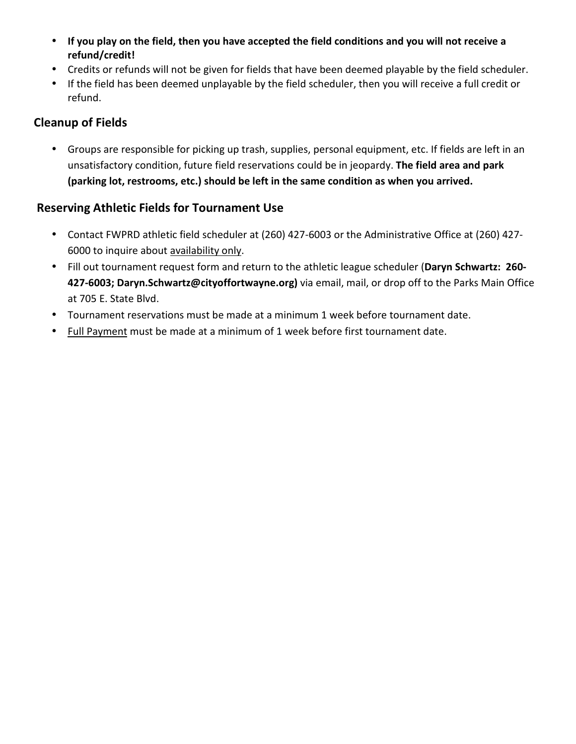- **If you play on the field, then you have accepted the field conditions and you will not receive a refund/credit!**
- Credits or refunds will not be given for fields that have been deemed playable by the field scheduler.
- If the field has been deemed unplayable by the field scheduler, then you will receive a full credit or refund.

# **Cleanup of Fields**

• Groups are responsible for picking up trash, supplies, personal equipment, etc. If fields are left in an unsatisfactory condition, future field reservations could be in jeopardy. **The field area and park (parking lot, restrooms, etc.) should be left in the same condition as when you arrived.**

## **Reserving Athletic Fields for Tournament Use**

- Contact FWPRD athletic field scheduler at (260) 427-6003 or the Administrative Office at (260) 427- 6000 to inquire about availability only.
- Fill out tournament request form and return to the athletic league scheduler (**Daryn Schwartz: 260- 427-6003; Daryn.Schwartz@cityoffortwayne.org)** via email, mail, or drop off to the Parks Main Office at 705 E. State Blvd.
- Tournament reservations must be made at a minimum 1 week before tournament date.
- Full Payment must be made at a minimum of 1 week before first tournament date.